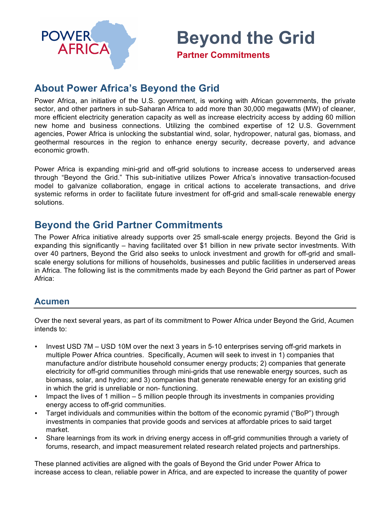

**Beyond the Grid**

**Partner Commitments**

# **About Power Africa's Beyond the Grid**

Power Africa, an initiative of the U.S. government, is working with African governments, the private sector, and other partners in sub-Saharan Africa to add more than 30,000 megawatts (MW) of cleaner, more efficient electricity generation capacity as well as increase electricity access by adding 60 million new home and business connections. Utilizing the combined expertise of 12 U.S. Government agencies, Power Africa is unlocking the substantial wind, solar, hydropower, natural gas, biomass, and geothermal resources in the region to enhance energy security, decrease poverty, and advance economic growth.

Power Africa is expanding mini-grid and off-grid solutions to increase access to underserved areas through "Beyond the Grid." This sub-initiative utilizes Power Africa's innovative transaction-focused model to galvanize collaboration, engage in critical actions to accelerate transactions, and drive systemic reforms in order to facilitate future investment for off-grid and small-scale renewable energy solutions.

# **Beyond the Grid Partner Commitments**

The Power Africa initiative already supports over 25 small-scale energy projects. Beyond the Grid is expanding this significantly – having facilitated over \$1 billion in new private sector investments. With over 40 partners, Beyond the Grid also seeks to unlock investment and growth for off-grid and smallscale energy solutions for millions of households, businesses and public facilities in underserved areas in Africa. The following list is the commitments made by each Beyond the Grid partner as part of Power Africa:

### **Acumen**

Over the next several years, as part of its commitment to Power Africa under Beyond the Grid, Acumen intends to:

- Invest USD 7M USD 10M over the next 3 years in 5-10 enterprises serving off-grid markets in multiple Power Africa countries. Specifically, Acumen will seek to invest in 1) companies that manufacture and/or distribute household consumer energy products; 2) companies that generate electricity for off-grid communities through mini-grids that use renewable energy sources, such as biomass, solar, and hydro; and 3) companies that generate renewable energy for an existing grid in which the grid is unreliable or non- functioning.
- Impact the lives of 1 million 5 million people through its investments in companies providing energy access to off-grid communities.
- Target individuals and communities within the bottom of the economic pyramid ("BoP") through investments in companies that provide goods and services at affordable prices to said target market.
- Share learnings from its work in driving energy access in off-grid communities through a variety of forums, research, and impact measurement related research related projects and partnerships.

These planned activities are aligned with the goals of Beyond the Grid under Power Africa to increase access to clean, reliable power in Africa, and are expected to increase the quantity of power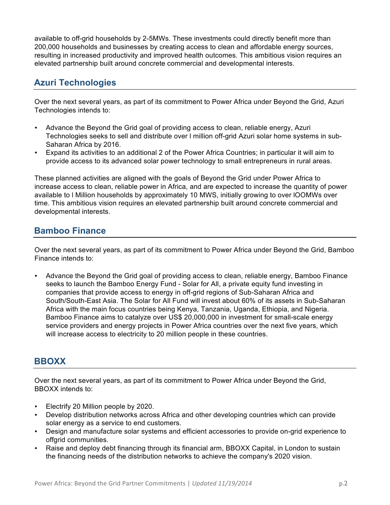available to off-grid households by 2-5MWs. These investments could directly benefit more than 200,000 households and businesses by creating access to clean and affordable energy sources, resulting in increased productivity and improved health outcomes. This ambitious vision requires an elevated partnership built around concrete commercial and developmental interests.

## **Azuri Technologies**

Over the next several years, as part of its commitment to Power Africa under Beyond the Grid, Azuri Technologies intends to:

- Advance the Beyond the Grid goal of providing access to clean, reliable energy, Azuri Technologies seeks to sell and distribute over l million off-grid Azuri solar home systems in sub-Saharan Africa by 2016.
- Expand its activities to an additional 2 of the Power Africa Countries; in particular it will aim to provide access to its advanced solar power technology to small entrepreneurs in rural areas.

These planned activities are aligned with the goals of Beyond the Grid under Power Africa to increase access to clean, reliable power in Africa, and are expected to increase the quantity of power available to l Million households by approximately 10 MWS, initially growing to over lOOMWs over time. This ambitious vision requires an elevated partnership built around concrete commercial and developmental interests.

## **Bamboo Finance**

Over the next several years, as part of its commitment to Power Africa under Beyond the Grid, Bamboo Finance intends to:

• Advance the Beyond the Grid goal of providing access to clean, reliable energy, Bamboo Finance seeks to launch the Bamboo Energy Fund - Solar for All, a private equity fund investing in companies that provide access to energy in off-grid regions of Sub-Saharan Africa and South/South-East Asia. The Solar for All Fund will invest about 60% of its assets in Sub-Saharan Africa with the main focus countries being Kenya, Tanzania, Uganda, Ethiopia, and Nigeria. Bamboo Finance aims to catalyze over US\$ 20,000,000 in investment for small-scale energy service providers and energy projects in Power Africa countries over the next five years, which will increase access to electricity to 20 million people in these countries.

## **BBOXX**

Over the next several years, as part of its commitment to Power Africa under Beyond the Grid, BBOXX intends to:

- Electrify 20 Million people by 2020.
- Develop distribution networks across Africa and other developing countries which can provide solar energy as a service to end customers.
- Design and manufacture solar systems and efficient accessories to provide on-grid experience to offgrid communities.
- Raise and deploy debt financing through its financial arm, BBOXX Capital, in London to sustain the financing needs of the distribution networks to achieve the company's 2020 vision.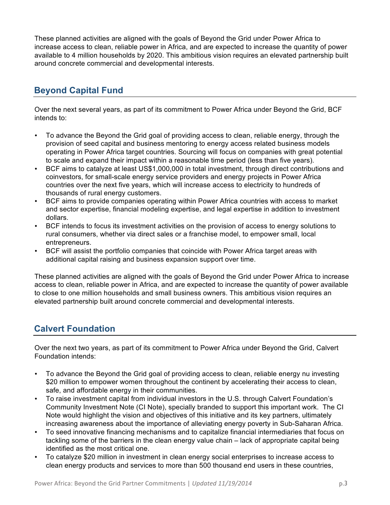These planned activities are aligned with the goals of Beyond the Grid under Power Africa to increase access to clean, reliable power in Africa, and are expected to increase the quantity of power available to 4 million households by 2020. This ambitious vision requires an elevated partnership built around concrete commercial and developmental interests.

## **Beyond Capital Fund**

Over the next several years, as part of its commitment to Power Africa under Beyond the Grid, BCF intends to:

- To advance the Beyond the Grid goal of providing access to clean, reliable energy, through the provision of seed capital and business mentoring to energy access related business models operating in Power Africa target countries. Sourcing will focus on companies with great potential to scale and expand their impact within a reasonable time period (less than five years).
- BCF aims to catalyze at least US\$1,000,000 in total investment, through direct contributions and coinvestors, for small-scale energy service providers and energy projects in Power Africa countries over the next five years, which will increase access to electricity to hundreds of thousands of rural energy customers.
- BCF aims to provide companies operating within Power Africa countries with access to market and sector expertise, financial modeling expertise, and legal expertise in addition to investment dollars.
- BCF intends to focus its investment activities on the provision of access to energy solutions to rural consumers, whether via direct sales or a franchise model, to empower small, local entrepreneurs.
- BCF will assist the portfolio companies that coincide with Power Africa target areas with additional capital raising and business expansion support over time.

These planned activities are aligned with the goals of Beyond the Grid under Power Africa to increase access to clean, reliable power in Africa, and are expected to increase the quantity of power available to close to one million households and small business owners. This ambitious vision requires an elevated partnership built around concrete commercial and developmental interests.

## **Calvert Foundation**

Over the next two years, as part of its commitment to Power Africa under Beyond the Grid, Calvert Foundation intends:

- To advance the Beyond the Grid goal of providing access to clean, reliable energy nu investing \$20 million to empower women throughout the continent by accelerating their access to clean, safe, and affordable energy in their communities.
- To raise investment capital from individual investors in the U.S. through Calvert Foundation's Community Investment Note (CI Note), specially branded to support this important work. The CI Note would highlight the vision and objectives of this initiative and its key partners, ultimately increasing awareness about the importance of alleviating energy poverty in Sub-Saharan Africa.
- To seed innovative financing mechanisms and to capitalize financial intermediaries that focus on tackling some of the barriers in the clean energy value chain – lack of appropriate capital being identified as the most critical one.
- To catalyze \$20 million in investment in clean energy social enterprises to increase access to clean energy products and services to more than 500 thousand end users in these countries,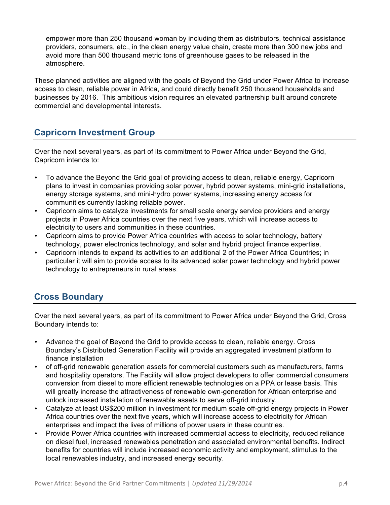empower more than 250 thousand woman by including them as distributors, technical assistance providers, consumers, etc., in the clean energy value chain, create more than 300 new jobs and avoid more than 500 thousand metric tons of greenhouse gases to be released in the atmosphere.

These planned activities are aligned with the goals of Beyond the Grid under Power Africa to increase access to clean, reliable power in Africa, and could directly benefit 250 thousand households and businesses by 2016. This ambitious vision requires an elevated partnership built around concrete commercial and developmental interests.

## **Capricorn Investment Group**

Over the next several years, as part of its commitment to Power Africa under Beyond the Grid, Capricorn intends to:

- To advance the Beyond the Grid goal of providing access to clean, reliable energy, Capricorn plans to invest in companies providing solar power, hybrid power systems, mini-grid installations, energy storage systems, and mini-hydro power systems, increasing energy access for communities currently lacking reliable power.
- Capricorn aims to catalyze investments for small scale energy service providers and energy projects in Power Africa countries over the next five years, which will increase access to electricity to users and communities in these countries.
- Capricorn aims to provide Power Africa countries with access to solar technology, battery technology, power electronics technology, and solar and hybrid project finance expertise.
- Capricorn intends to expand its activities to an additional 2 of the Power Africa Countries; in particular it will aim to provide access to its advanced solar power technology and hybrid power technology to entrepreneurs in rural areas.

# **Cross Boundary**

Over the next several years, as part of its commitment to Power Africa under Beyond the Grid, Cross Boundary intends to:

- Advance the goal of Beyond the Grid to provide access to clean, reliable energy. Cross Boundary's Distributed Generation Facility will provide an aggregated investment platform to finance installation
- of off-grid renewable generation assets for commercial customers such as manufacturers, farms and hospitality operators. The Facility will allow project developers to offer commercial consumers conversion from diesel to more efficient renewable technologies on a PPA or lease basis. This will greatly increase the attractiveness of renewable own-generation for African enterprise and unlock increased installation of renewable assets to serve off-grid industry.
- Catalyze at least US\$200 million in investment for medium scale off-grid energy projects in Power Africa countries over the next five years, which will increase access to electricity for African enterprises and impact the lives of millions of power users in these countries.
- Provide Power Africa countries with increased commercial access to electricity, reduced reliance on diesel fuel, increased renewables penetration and associated environmental benefits. Indirect benefits for countries will include increased economic activity and employment, stimulus to the local renewables industry, and increased energy security.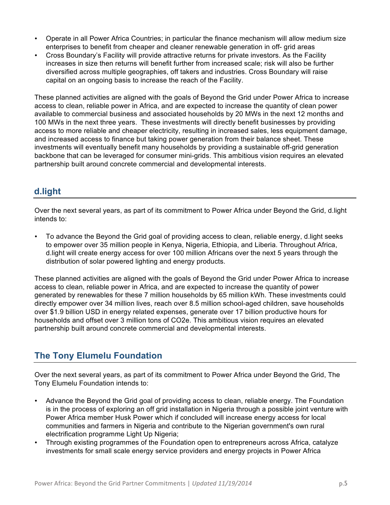- Operate in all Power Africa Countries; in particular the finance mechanism will allow medium size enterprises to benefit from cheaper and cleaner renewable generation in off- grid areas
- Cross Boundary's Facility will provide attractive returns for private investors. As the Facility increases in size then returns will benefit further from increased scale; risk will also be further diversified across multiple geographies, off takers and industries. Cross Boundary will raise capital on an ongoing basis to increase the reach of the Facility.

These planned activities are aligned with the goals of Beyond the Grid under Power Africa to increase access to clean, reliable power in Africa, and are expected to increase the quantity of clean power available to commercial business and associated households by 20 MWs in the next 12 months and 100 MWs in the next three years. These investments will directly benefit businesses by providing access to more reliable and cheaper electricity, resulting in increased sales, less equipment damage, and increased access to finance but taking power generation from their balance sheet. These investments will eventually benefit many households by providing a sustainable off-grid generation backbone that can be leveraged for consumer mini-grids. This ambitious vision requires an elevated partnership built around concrete commercial and developmental interests.

# **d.light**

Over the next several years, as part of its commitment to Power Africa under Beyond the Grid, d.light intends to:

• To advance the Beyond the Grid goal of providing access to clean, reliable energy, d.light seeks to empower over 35 million people in Kenya, Nigeria, Ethiopia, and Liberia. Throughout Africa, d.light will create energy access for over 100 million Africans over the next 5 years through the distribution of solar powered lighting and energy products.

These planned activities are aligned with the goals of Beyond the Grid under Power Africa to increase access to clean, reliable power in Africa, and are expected to increase the quantity of power generated by renewables for these 7 million households by 65 million kWh. These investments could directly empower over 34 million lives, reach over 8.5 million school-aged children, save households over \$1.9 billion USD in energy related expenses, generate over 17 billion productive hours for households and offset over 3 million tons of CO2e. This ambitious vision requires an elevated partnership built around concrete commercial and developmental interests.

# **The Tony Elumelu Foundation**

Over the next several years, as part of its commitment to Power Africa under Beyond the Grid, The Tony Elumelu Foundation intends to:

- Advance the Beyond the Grid goal of providing access to clean, reliable energy. The Foundation is in the process of exploring an off grid installation in Nigeria through a possible joint venture with Power Africa member Husk Power which if concluded will increase energy access for local communities and farmers in Nigeria and contribute to the Nigerian government's own rural electrification programme Light Up Nigeria;
- Through existing programmes of the Foundation open to entrepreneurs across Africa, catalyze investments for small scale energy service providers and energy projects in Power Africa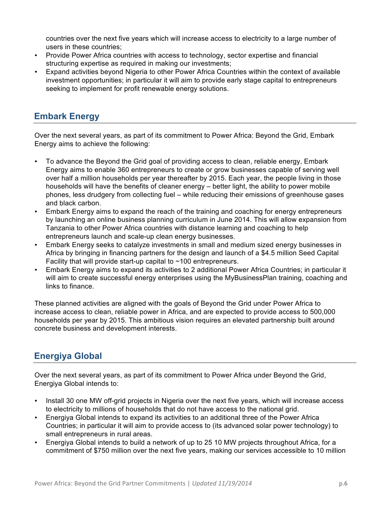countries over the next five years which will increase access to electricity to a large number of users in these countries;

- Provide Power Africa countries with access to technology, sector expertise and financial structuring expertise as required in making our investments;
- Expand activities beyond Nigeria to other Power Africa Countries within the context of available investment opportunities; in particular it will aim to provide early stage capital to entrepreneurs seeking to implement for profit renewable energy solutions.

## **Embark Energy**

Over the next several years, as part of its commitment to Power Africa: Beyond the Grid, Embark Energy aims to achieve the following:

- To advance the Beyond the Grid goal of providing access to clean, reliable energy, Embark Energy aims to enable 360 entrepreneurs to create or grow businesses capable of serving well over half a million households per year thereafter by 2015. Each year, the people living in those households will have the benefits of cleaner energy – better light, the ability to power mobile phones, less drudgery from collecting fuel – while reducing their emissions of greenhouse gases and black carbon.
- Embark Energy aims to expand the reach of the training and coaching for energy entrepreneurs by launching an online business planning curriculum in June 2014. This will allow expansion from Tanzania to other Power Africa countries with distance learning and coaching to help entrepreneurs launch and scale-up clean energy businesses.
- Embark Energy seeks to catalyze investments in small and medium sized energy businesses in Africa by bringing in financing partners for the design and launch of a \$4.5 million Seed Capital Facility that will provide start-up capital to  $~100$  entrepreneurs.
- Embark Energy aims to expand its activities to 2 additional Power Africa Countries; in particular it will aim to create successful energy enterprises using the MyBusinessPlan training, coaching and links to finance.

These planned activities are aligned with the goals of Beyond the Grid under Power Africa to increase access to clean, reliable power in Africa, and are expected to provide access to 500,000 households per year by 2015. This ambitious vision requires an elevated partnership built around concrete business and development interests.

# **Energiya Global**

Over the next several years, as part of its commitment to Power Africa under Beyond the Grid, Energiya Global intends to:

- Install 30 one MW off-grid projects in Nigeria over the next five years, which will increase access to electricity to millions of households that do not have access to the national grid.
- Energiya Global intends to expand its activities to an additional three of the Power Africa Countries; in particular it will aim to provide access to (its advanced solar power technology) to small entrepreneurs in rural areas.
- Energiya Global intends to build a network of up to 25 10 MW projects throughout Africa, for a commitment of \$750 million over the next five years, making our services accessible to 10 million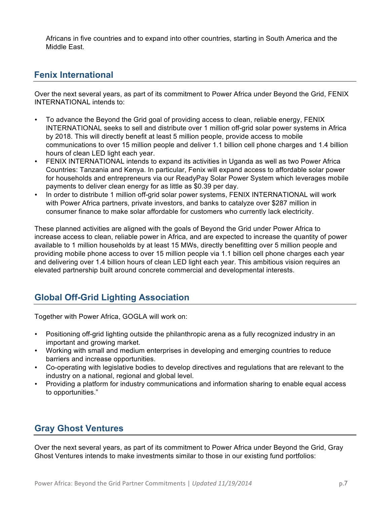Africans in five countries and to expand into other countries, starting in South America and the Middle East.

### **Fenix International**

Over the next several years, as part of its commitment to Power Africa under Beyond the Grid, FENIX INTERNATIONAL intends to:

- To advance the Beyond the Grid goal of providing access to clean, reliable energy, FENIX INTERNATIONAL seeks to sell and distribute over 1 million off-grid solar power systems in Africa by 2018. This will directly benefit at least 5 million people, provide access to mobile communications to over 15 million people and deliver 1.1 billion cell phone charges and 1.4 billion hours of clean LED light each year.
- FENIX INTERNATIONAL intends to expand its activities in Uganda as well as two Power Africa Countries: Tanzania and Kenya. In particular, Fenix will expand access to affordable solar power for households and entrepreneurs via our ReadyPay Solar Power System which leverages mobile payments to deliver clean energy for as little as \$0.39 per day.
- In order to distribute 1 million off-grid solar power systems, FENIX INTERNATIONAL will work with Power Africa partners, private investors, and banks to catalyze over \$287 million in consumer finance to make solar affordable for customers who currently lack electricity.

These planned activities are aligned with the goals of Beyond the Grid under Power Africa to increase access to clean, reliable power in Africa, and are expected to increase the quantity of power available to 1 million households by at least 15 MWs, directly benefitting over 5 million people and providing mobile phone access to over 15 million people via 1.1 billion cell phone charges each year and delivering over 1.4 billion hours of clean LED light each year. This ambitious vision requires an elevated partnership built around concrete commercial and developmental interests.

# **Global Off-Grid Lighting Association**

Together with Power Africa, GOGLA will work on:

- Positioning off-grid lighting outside the philanthropic arena as a fully recognized industry in an important and growing market.
- Working with small and medium enterprises in developing and emerging countries to reduce barriers and increase opportunities.
- Co-operating with legislative bodies to develop directives and regulations that are relevant to the industry on a national, regional and global level.
- Providing a platform for industry communications and information sharing to enable equal access to opportunities."

# **Gray Ghost Ventures**

Over the next several years, as part of its commitment to Power Africa under Beyond the Grid, Gray Ghost Ventures intends to make investments similar to those in our existing fund portfolios: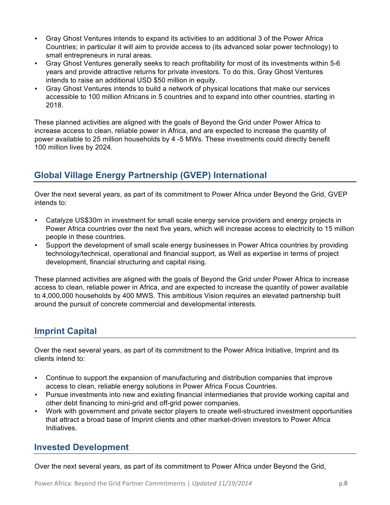- Gray Ghost Ventures intends to expand its activities to an additional 3 of the Power Africa Countries; in particular it will aim to provide access to (its advanced solar power technology) to small entrepreneurs in rural areas.
- Gray Ghost Ventures generally seeks to reach profitability for most of its investments within 5-6 years and provide attractive returns for private investors. To do this, Gray Ghost Ventures intends to raise an additional USD \$50 million in equity.
- Gray Ghost Ventures intends to build a network of physical locations that make our services accessible to 100 million Africans in 5 countries and to expand into other countries, starting in 2018.

These planned activities are aligned with the goals of Beyond the Grid under Power Africa to increase access to clean, reliable power in Africa, and are expected to increase the quantity of power available to 25 million households by 4 -5 MWs. These investments could directly benefit 100 million lives by 2024.

# **Global Village Energy Partnership (GVEP) International**

Over the next several years, as part of its commitment to Power Africa under Beyond the Grid, GVEP intends to:

- Catalyze US\$30m in investment for small scale energy service providers and energy projects in Power Africa countries over the next five years, which will increase access to electricity to 15 million people in these countries.
- Support the development of small scale energy businesses in Power Africa countries by providing technology/technical, operational and financial support, as Well as expertise in terms of project development, financial structuring and capital rising.

These planned activities are aligned with the goals of Beyond the Grid under Power Africa to increase access to clean, reliable power in Africa, and are expected to increase the quantity of power available to 4,000,000 households by 400 MWS. This ambitious Vision requires an elevated partnership built around the pursuit of concrete commercial and developmental interests.

## **Imprint Capital**

Over the next several years, as part of its commitment to the Power Africa Initiative, Imprint and its clients intend to:

- Continue to support the expansion of manufacturing and distribution companies that improve access to clean, reliable energy solutions in Power Africa Focus Countries.
- Pursue investments into new and existing financial intermediaries that provide working capital and other debt financing to mini-grid and off-grid power companies.
- Work with government and private sector players to create well-structured investment opportunities that attract a broad base of Imprint clients and other market-driven investors to Power Africa Initiatives.

## **Invested Development**

Over the next several years, as part of its commitment to Power Africa under Beyond the Grid,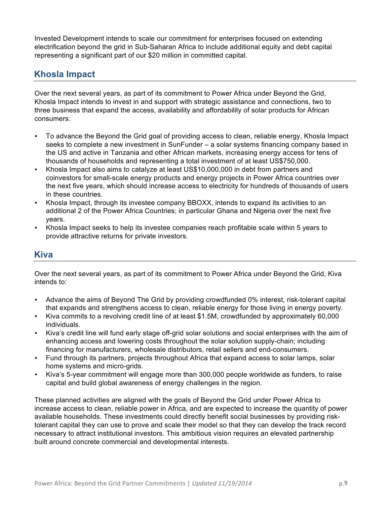Invested Development intends to scale our commitment for enterprises focused on extending electrification beyond the grid in Sub-Saharan Africa to include additional equity and debt capital representing a significant part of our \$20 million in committed capital.

## **Khosla Impact**

Over the next several years, as part of its commitment to Power Africa under Beyond the Grid, Khosla Impact intends to invest in and support with strategic assistance and connections, two to three business that expand the access, availability and affordability of solar products for African consumers:

- To advance the Beyond the Grid goal of providing access to clean, reliable energy, Khosla Impact seeks to complete a new investment in SunFunder – a solar systems financing company based in the US and active in Tanzania and other African markets, increasing energy access for tens of thousands of households and representing a total investment of at least US\$750,000.
- Khosla Impact also aims to catalyze at least US\$10,000,000 in debt from partners and coinvestors for small-scale energy products and energy projects in Power Africa countries over the next five years, which should increase access to electricity for hundreds of thousands of users in these countries.
- Khosla Impact, through its investee company BBOXX, intends to expand its activities to an additional 2 of the Power Africa Countries; in particular Ghana and Nigeria over the next five years.
- Khosla Impact seeks to help its investee companies reach profitable scale within 5 years to provide attractive returns for private investors.

#### **Kiva**

Over the next several years, as part of its commitment to Power Africa under Beyond the Grid, Kiva intends to:

- Advance the aims of Beyond The Grid by providing crowdfunded 0% interest, risk-tolerant capital that expands and strengthens access to clean, reliable energy for those living in energy poverty.
- Kiva commits to a revolving credit line of at least \$1.5M, crowdfunded by approximately 60,000 individuals.
- Kiva's credit line will fund early stage off-grid solar solutions and social enterprises with the aim of enhancing access and lowering costs throughout the solar solution supply-chain; including financing for manufacturers, wholesale distributors, retail sellers and end-consumers.
- Fund through its partners, projects throughout Africa that expand access to solar lamps, solar home systems and micro-grids.
- Kiva's 5-year commitment will engage more than 300,000 people worldwide as funders, to raise capital and build global awareness of energy challenges in the region.

These planned activities are aligned with the goals of Beyond the Grid under Power Africa to increase access to clean, reliable power in Africa, and are expected to increase the quantity of power available households. These investments could directly benefit social businesses by providing risktolerant capital they can use to prove and scale their model so that they can develop the track record necessary to attract institutional investors. This ambitious vision requires an elevated partnership built around concrete commercial and developmental interests.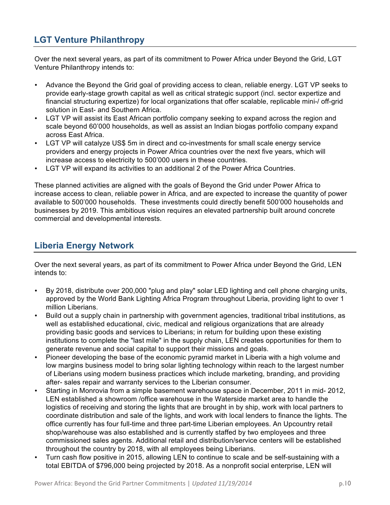# **LGT Venture Philanthropy**

Over the next several years, as part of its commitment to Power Africa under Beyond the Grid, LGT Venture Philanthropy intends to:

- Advance the Beyond the Grid goal of providing access to clean, reliable energy. LGT VP seeks to provide early-stage growth capital as well as critical strategic support (incl. sector expertize and financial structuring expertize) for local organizations that offer scalable, replicable mini-/ off-grid solution in East- and Southern Africa.
- LGT VP will assist its East African portfolio company seeking to expand across the region and scale beyond 60'000 households, as well as assist an Indian biogas portfolio company expand across East Africa.
- LGT VP will catalyze US\$ 5m in direct and co-investments for small scale energy service providers and energy projects in Power Africa countries over the next five years, which will increase access to electricity to 500'000 users in these countries.
- LGT VP will expand its activities to an additional 2 of the Power Africa Countries.

These planned activities are aligned with the goals of Beyond the Grid under Power Africa to increase access to clean, reliable power in Africa, and are expected to increase the quantity of power available to 500'000 households. These investments could directly benefit 500'000 households and businesses by 2019. This ambitious vision requires an elevated partnership built around concrete commercial and developmental interests.

#### **Liberia Energy Network**

Over the next several years, as part of its commitment to Power Africa under Beyond the Grid, LEN intends to:

- By 2018, distribute over 200,000 "plug and play" solar LED lighting and cell phone charging units, approved by the World Bank Lighting Africa Program throughout Liberia, providing light to over 1 million Liberians.
- Build out a supply chain in partnership with government agencies, traditional tribal institutions, as well as established educational, civic, medical and religious organizations that are already providing basic goods and services to Liberians; in return for building upon these existing institutions to complete the "last mile" in the supply chain, LEN creates opportunities for them to generate revenue and social capital to support their missions and goals.
- Pioneer developing the base of the economic pyramid market in Liberia with a high volume and low margins business model to bring solar lighting technology within reach to the largest number of Liberians using modern business practices which include marketing, branding, and providing after- sales repair and warranty services to the Liberian consumer.
- Starting in Monrovia from a simple basement warehouse space in December, 2011 in mid- 2012, LEN established a showroom /office warehouse in the Waterside market area to handle the logistics of receiving and storing the lights that are brought in by ship, work with local partners to coordinate distribution and sale of the lights, and work with local lenders to finance the lights. The office currently has four full-time and three part-time Liberian employees. An Upcountry retail shop/warehouse was also established and is currently staffed by two employees and three commissioned sales agents. Additional retail and distribution/service centers will be established throughout the country by 2018, with all employees being Liberians.
- Turn cash flow positive in 2015, allowing LEN to continue to scale and be self-sustaining with a total EBITDA of \$796,000 being projected by 2018. As a nonprofit social enterprise, LEN will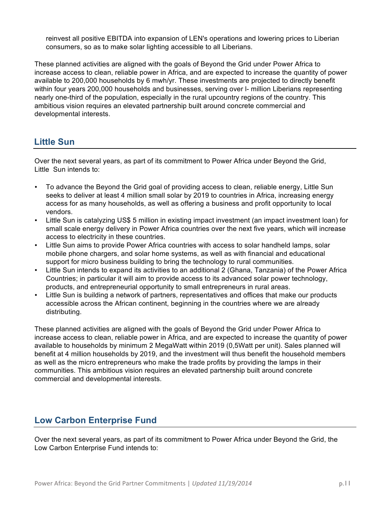reinvest all positive EBITDA into expansion of LEN's operations and lowering prices to Liberian consumers, so as to make solar lighting accessible to all Liberians.

These planned activities are aligned with the goals of Beyond the Grid under Power Africa to increase access to clean, reliable power in Africa, and are expected to increase the quantity of power available to 200,000 households by 6 mwh/yr. These investments are projected to directly benefit within four years 200,000 households and businesses, serving over I- million Liberians representing nearly one-third of the population, especially in the rural upcountry regions of the country. This ambitious vision requires an elevated partnership built around concrete commercial and developmental interests.

## **Little Sun**

Over the next several years, as part of its commitment to Power Africa under Beyond the Grid, Little Sun intends to:

- To advance the Beyond the Grid goal of providing access to clean, reliable energy, Little Sun seeks to deliver at least 4 million small solar by 2019 to countries in Africa, increasing energy access for as many households, as well as offering a business and profit opportunity to local vendors.
- Little Sun is catalyzing US\$ 5 million in existing impact investment (an impact investment loan) for small scale energy delivery in Power Africa countries over the next five years, which will increase access to electricity in these countries.
- Little Sun aims to provide Power Africa countries with access to solar handheld lamps, solar mobile phone chargers, and solar home systems, as well as with financial and educational support for micro business building to bring the technology to rural communities.
- Little Sun intends to expand its activities to an additional 2 (Ghana, Tanzania) of the Power Africa Countries; in particular it will aim to provide access to its advanced solar power technology, products, and entrepreneurial opportunity to small entrepreneurs in rural areas.
- Little Sun is building a network of partners, representatives and offices that make our products accessible across the African continent, beginning in the countries where we are already distributing.

These planned activities are aligned with the goals of Beyond the Grid under Power Africa to increase access to clean, reliable power in Africa, and are expected to increase the quantity of power available to households by minimum 2 MegaWatt within 2019 (0,5Watt per unit). Sales planned will benefit at 4 million households by 2019, and the investment will thus benefit the household members as well as the micro entrepreneurs who make the trade profits by providing the lamps in their communities. This ambitious vision requires an elevated partnership built around concrete commercial and developmental interests.

### **Low Carbon Enterprise Fund**

Over the next several years, as part of its commitment to Power Africa under Beyond the Grid, the Low Carbon Enterprise Fund intends to: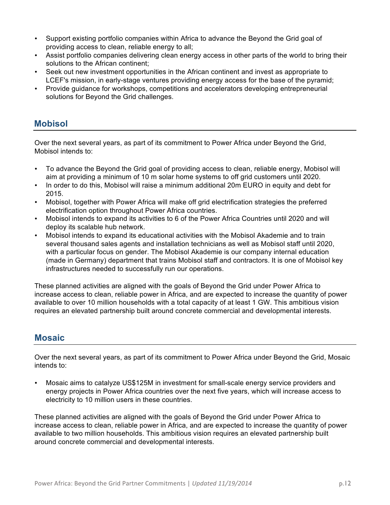- Support existing portfolio companies within Africa to advance the Beyond the Grid goal of providing access to clean, reliable energy to all;
- Assist portfolio companies delivering clean energy access in other parts of the world to bring their solutions to the African continent;
- Seek out new investment opportunities in the African continent and invest as appropriate to LCEF's mission, in early-stage ventures providing energy access for the base of the pyramid;
- Provide guidance for workshops, competitions and accelerators developing entrepreneurial solutions for Beyond the Grid challenges.

### **Mobisol**

Over the next several years, as part of its commitment to Power Africa under Beyond the Grid, Mobisol intends to:

- To advance the Beyond the Grid goal of providing access to clean, reliable energy, Mobisol will aim at providing a minimum of 10 m solar home systems to off grid customers until 2020.
- In order to do this, Mobisol will raise a minimum additional 20m EURO in equity and debt for 2015.
- Mobisol, together with Power Africa will make off grid electrification strategies the preferred electrification option throughout Power Africa countries.
- Mobisol intends to expand its activities to 6 of the Power Africa Countries until 2020 and will deploy its scalable hub network.
- Mobisol intends to expand its educational activities with the Mobisol Akademie and to train several thousand sales agents and installation technicians as well as Mobisol staff until 2020, with a particular focus on gender. The Mobisol Akademie is our company internal education (made in Germany) department that trains Mobisol staff and contractors. It is one of Mobisol key infrastructures needed to successfully run our operations.

These planned activities are aligned with the goals of Beyond the Grid under Power Africa to increase access to clean, reliable power in Africa, and are expected to increase the quantity of power available to over 10 million households with a total capacity of at least 1 GW. This ambitious vision requires an elevated partnership built around concrete commercial and developmental interests.

### **Mosaic**

Over the next several years, as part of its commitment to Power Africa under Beyond the Grid, Mosaic intends to:

• Mosaic aims to catalyze US\$125M in investment for small-scale energy service providers and energy projects in Power Africa countries over the next five years, which will increase access to electricity to 10 million users in these countries.

These planned activities are aligned with the goals of Beyond the Grid under Power Africa to increase access to clean, reliable power in Africa, and are expected to increase the quantity of power available to two million households. This ambitious vision requires an elevated partnership built around concrete commercial and developmental interests.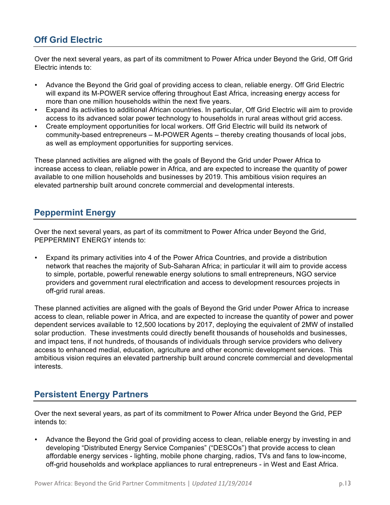# **Off Grid Electric**

Over the next several years, as part of its commitment to Power Africa under Beyond the Grid, Off Grid Electric intends to:

- Advance the Beyond the Grid goal of providing access to clean, reliable energy. Off Grid Electric will expand its M-POWER service offering throughout East Africa, increasing energy access for more than one million households within the next five years.
- Expand its activities to additional African countries. In particular, Off Grid Electric will aim to provide access to its advanced solar power technology to households in rural areas without grid access.
- Create employment opportunities for local workers. Off Grid Electric will build its network of community-based entrepreneurs – M-POWER Agents – thereby creating thousands of local jobs, as well as employment opportunities for supporting services.

These planned activities are aligned with the goals of Beyond the Grid under Power Africa to increase access to clean, reliable power in Africa, and are expected to increase the quantity of power available to one million households and businesses by 2019. This ambitious vision requires an elevated partnership built around concrete commercial and developmental interests.

### **Peppermint Energy**

Over the next several years, as part of its commitment to Power Africa under Beyond the Grid, PEPPERMINT ENERGY intends to:

• Expand its primary activities into 4 of the Power Africa Countries, and provide a distribution network that reaches the majority of Sub-Saharan Africa; in particular it will aim to provide access to simple, portable, powerful renewable energy solutions to small entrepreneurs, NGO service providers and government rural electrification and access to development resources projects in off-grid rural areas.

These planned activities are aligned with the goals of Beyond the Grid under Power Africa to increase access to clean, reliable power in Africa, and are expected to increase the quantity of power and power dependent services available to 12,500 locations by 2017, deploying the equivalent of 2MW of installed solar production. These investments could directly benefit thousands of households and businesses, and impact tens, if not hundreds, of thousands of individuals through service providers who delivery access to enhanced medial, education, agriculture and other economic development services. This ambitious vision requires an elevated partnership built around concrete commercial and developmental interests.

## **Persistent Energy Partners**

Over the next several years, as part of its commitment to Power Africa under Beyond the Grid, PEP intends to:

• Advance the Beyond the Grid goal of providing access to clean, reliable energy by investing in and developing "Distributed Energy Service Companies" ("DESCOs") that provide access to clean affordable energy services - lighting, mobile phone charging, radios, TVs and fans to low-income, off-grid households and workplace appliances to rural entrepreneurs - in West and East Africa.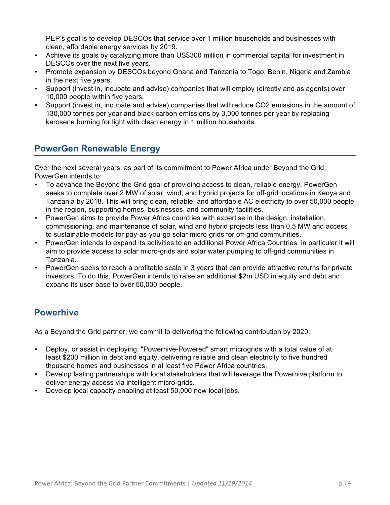PEP's goal is to develop DESCOs that service over 1 million households and businesses with clean, affordable energy services by 2019.

- Achieve its goals by catalyzing more than US\$300 million in commercial capital for investment in DESCOs over the next five years.
- Promote expansion by DESCOs beyond Ghana and Tanzania to Togo, Benin, Nigeria and Zambia in the next five years.
- Support (invest in, incubate and advise) companies that will employ (directly and as agents) over 10,000 people within five years.
- Support (invest in, incubate and advise) companies that will reduce CO2 emissions in the amount of 130,000 tonnes per year and black carbon emissions by 3,000 tonnes per year by replacing kerosene burning for light with clean energy in 1 million households.

## **PowerGen Renewable Energy**

Over the next several years, as part of its commitment to Power Africa under Beyond the Grid, PowerGen intends to:

- To advance the Beyond the Grid goal of providing access to clean, reliable energy, PowerGen seeks to complete over 2 MW of solar, wind, and hybrid projects for off-grid locations in Kenya and Tanzania by 2018. This will bring clean, reliable, and affordable AC electricity to over 50,000 people in the region, supporting homes, businesses, and community facilities.
- PowerGen aims to provide Power Africa countries with expertise in the design, installation, commissioning, and maintenance of solar, wind and hybrid projects less than 0.5 MW and access to sustainable models for pay-as-you-go solar micro-grids for off-grid communities.
- PowerGen intends to expand its activities to an additional Power Africa Countries; in particular it will aim to provide access to solar micro-grids and solar water pumping to off-grid communities in Tanzania.
- PowerGen seeks to reach a profitable scale in 3 years that can provide attractive returns for private investors. To do this, PowerGen intends to raise an additional \$2m USD in equity and debt and expand its user base to over 50,000 people.

## **Powerhive**

As a Beyond the Grid partner, we commit to delivering the following contribution by 2020:

- Deploy, or assist in deploying, "Powerhive-Powered" smart microgrids with a total value of at least \$200 million in debt and equity, delivering reliable and clean electricity to five hundred thousand homes and businesses in at least five Power Africa countries.
- Develop lasting partnerships with local stakeholders that will leverage the Powerhive platform to deliver energy access via intelligent micro-grids.
- Develop local capacity enabling at least 50,000 new local jobs.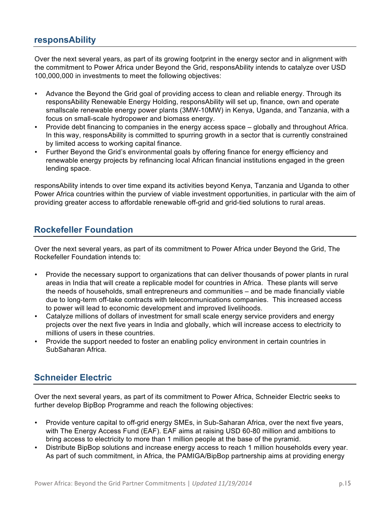#### **responsAbility**

Over the next several years, as part of its growing footprint in the energy sector and in alignment with the commitment to Power Africa under Beyond the Grid, responsAbility intends to catalyze over USD 100,000,000 in investments to meet the following objectives:

- Advance the Beyond the Grid goal of providing access to clean and reliable energy. Through its responsAbility Renewable Energy Holding, responsAbility will set up, finance, own and operate smallscale renewable energy power plants (3MW-10MW) in Kenya, Uganda, and Tanzania, with a focus on small-scale hydropower and biomass energy.
- Provide debt financing to companies in the energy access space globally and throughout Africa. In this way, responsAbility is committed to spurring growth in a sector that is currently constrained by limited access to working capital finance.
- Further Beyond the Grid's environmental goals by offering finance for energy efficiency and renewable energy projects by refinancing local African financial institutions engaged in the green lending space.

responsAbility intends to over time expand its activities beyond Kenya, Tanzania and Uganda to other Power Africa countries within the purview of viable investment opportunities, in particular with the aim of providing greater access to affordable renewable off-grid and grid-tied solutions to rural areas.

### **Rockefeller Foundation**

Over the next several years, as part of its commitment to Power Africa under Beyond the Grid, The Rockefeller Foundation intends to:

- Provide the necessary support to organizations that can deliver thousands of power plants in rural areas in India that will create a replicable model for countries in Africa. These plants will serve the needs of households, small entrepreneurs and communities – and be made financially viable due to long-term off-take contracts with telecommunications companies. This increased access to power will lead to economic development and improved livelihoods.
- Catalyze millions of dollars of investment for small scale energy service providers and energy projects over the next five years in India and globally, which will increase access to electricity to millions of users in these countries.
- Provide the support needed to foster an enabling policy environment in certain countries in SubSaharan Africa.

## **Schneider Electric**

Over the next several years, as part of its commitment to Power Africa, Schneider Electric seeks to further develop BipBop Programme and reach the following objectives:

- Provide venture capital to off-grid energy SMEs, in Sub-Saharan Africa, over the next five years, with The Energy Access Fund (EAF). EAF aims at raising USD 60-80 million and ambitions to bring access to electricity to more than 1 million people at the base of the pyramid.
- Distribute BipBop solutions and increase energy access to reach 1 million households every year. As part of such commitment, in Africa, the PAMIGA/BipBop partnership aims at providing energy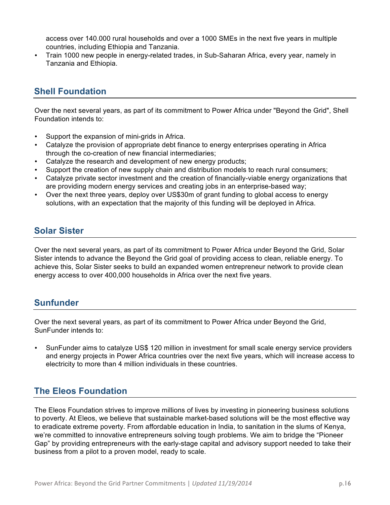access over 140.000 rural households and over a 1000 SMEs in the next five years in multiple countries, including Ethiopia and Tanzania.

• Train 1000 new people in energy-related trades, in Sub-Saharan Africa, every year, namely in Tanzania and Ethiopia.

## **Shell Foundation**

Over the next several years, as part of its commitment to Power Africa under "Beyond the Grid", Shell Foundation intends to:

- Support the expansion of mini-grids in Africa.
- Catalyze the provision of appropriate debt finance to energy enterprises operating in Africa through the co-creation of new financial intermediaries;
- Catalyze the research and development of new energy products;
- Support the creation of new supply chain and distribution models to reach rural consumers;
- Catalyze private sector investment and the creation of financially-viable energy organizations that are providing modern energy services and creating jobs in an enterprise-based way;
- Over the next three years, deploy over US\$30m of grant funding to global access to energy solutions, with an expectation that the majority of this funding will be deployed in Africa.

## **Solar Sister**

Over the next several years, as part of its commitment to Power Africa under Beyond the Grid, Solar Sister intends to advance the Beyond the Grid goal of providing access to clean, reliable energy. To achieve this, Solar Sister seeks to build an expanded women entrepreneur network to provide clean energy access to over 400,000 households in Africa over the next five years.

## **Sunfunder**

Over the next several years, as part of its commitment to Power Africa under Beyond the Grid, SunFunder intends to:

• SunFunder aims to catalyze US\$ 120 million in investment for small scale energy service providers and energy projects in Power Africa countries over the next five years, which will increase access to electricity to more than 4 million individuals in these countries.

## **The Eleos Foundation**

The Eleos Foundation strives to improve millions of lives by investing in pioneering business solutions to poverty. At Eleos, we believe that sustainable market-based solutions will be the most effective way to eradicate extreme poverty. From affordable education in India, to sanitation in the slums of Kenya, we're committed to innovative entrepreneurs solving tough problems. We aim to bridge the "Pioneer Gap" by providing entrepreneurs with the early-stage capital and advisory support needed to take their business from a pilot to a proven model, ready to scale.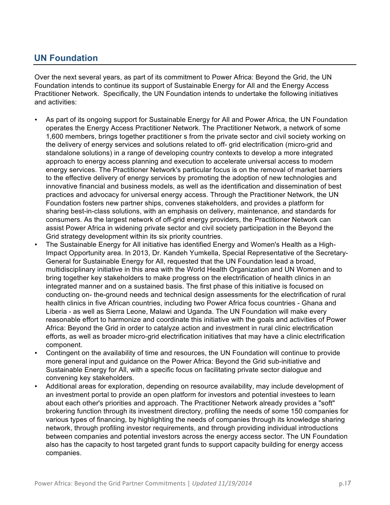# **UN Foundation**

Over the next several years, as part of its commitment to Power Africa: Beyond the Grid, the UN Foundation intends to continue its support of Sustainable Energy for All and the Energy Access Practitioner Network. Specifically, the UN Foundation intends to undertake the following initiatives and activities:

- As part of its ongoing support for Sustainable Energy for All and Power Africa, the UN Foundation operates the Energy Access Practitioner Network. The Practitioner Network, a network of some 1,600 members, brings together practitioner s from the private sector and civil society working on the delivery of energy services and solutions related to off- grid electrification (micro-grid and standalone solutions) in a range of developing country contexts to develop a more integrated approach to energy access planning and execution to accelerate universal access to modern energy services. The Practitioner Network's particular focus is on the removal of market barriers to the effective delivery of energy services by promoting the adoption of new technologies and innovative financial and business models, as well as the identification and dissemination of best practices and advocacy for universal energy access. Through the Practitioner Network, the UN Foundation fosters new partner ships, convenes stakeholders, and provides a platform for sharing best-in-class solutions, with an emphasis on delivery, maintenance, and standards for consumers. As the largest network of off-grid energy providers, the Practitioner Network can assist Power Africa in widening private sector and civil society participation in the Beyond the Grid strategy development within its six priority countries.
- The Sustainable Energy for All initiative has identified Energy and Women's Health as a High-Impact Opportunity area. In 2013, Dr. Kandeh Yumkella, Special Representative of the Secretary-General for Sustainable Energy for All, requested that the UN Foundation lead a broad, multidisciplinary initiative in this area with the World Health Organization and UN Women and to bring together key stakeholders to make progress on the electrification of health clinics in an integrated manner and on a sustained basis. The first phase of this initiative is focused on conducting on- the-ground needs and technical design assessments for the electrification of rural health clinics in five African countries, including two Power Africa focus countries - Ghana and Liberia - as well as Sierra Leone, Malawi and Uganda. The UN Foundation will make every reasonable effort to harmonize and coordinate this initiative with the goals and activities of Power Africa: Beyond the Grid in order to catalyze action and investment in rural clinic electrification efforts, as well as broader micro-grid electrification initiatives that may have a clinic electrification component.
- Contingent on the availability of time and resources, the UN Foundation will continue to provide more general input and guidance on the Power Africa: Beyond the Grid sub-initiative and Sustainable Energy for All, with a specific focus on facilitating private sector dialogue and convening key stakeholders.
- Additional areas for exploration, depending on resource availability, may include development of an investment portal to provide an open platform for investors and potential investees to learn about each other's priorities and approach. The Practitioner Network already provides a "soft" brokering function through its investment directory, profiling the needs of some 150 companies for various types of financing, by highlighting the needs of companies through its knowledge sharing network, through profiling investor requirements, and through providing individual introductions between companies and potential investors across the energy access sector. The UN Foundation also has the capacity to host targeted grant funds to support capacity building for energy access companies.